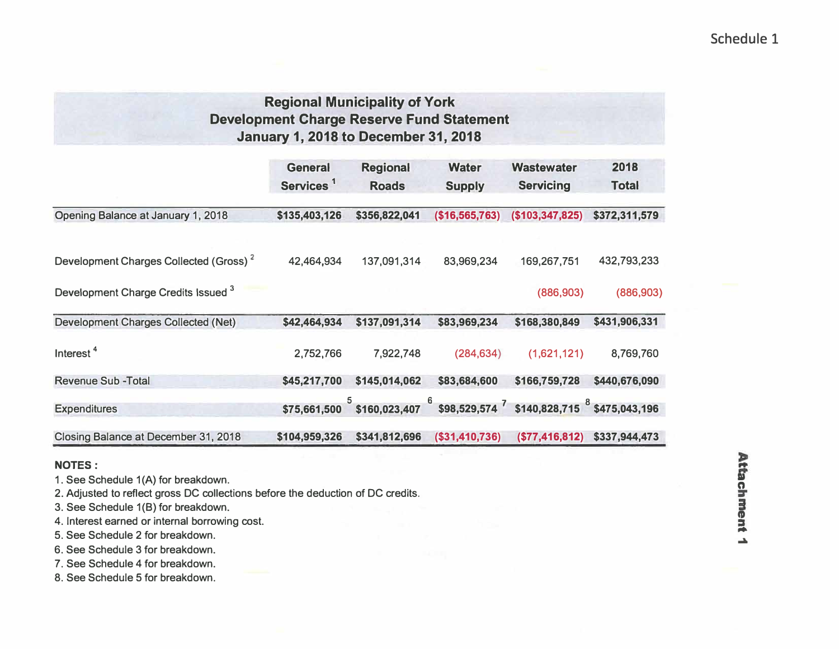# Schedule 1

# **Regional Municipality of York Development Charge Reserve Fund Statement January 1, 2018 to December 31, 2018**

|                                                    | <b>General</b><br>Services <sup>1</sup> | <b>Regional</b><br><b>Roads</b> | <b>Water</b><br><b>Supply</b>                                            | <b>Wastewater</b><br><b>Servicing</b> | 2018<br><b>Total</b> |
|----------------------------------------------------|-----------------------------------------|---------------------------------|--------------------------------------------------------------------------|---------------------------------------|----------------------|
| Opening Balance at January 1, 2018                 | \$135,403,126                           | \$356,822,041                   | (\$16,565,763)                                                           | (\$103,347,825)                       | \$372,311,579        |
| Development Charges Collected (Gross) <sup>2</sup> | 42,464,934                              | 137,091,314                     | 83,969,234                                                               | 169,267,751                           | 432,793,233          |
| Development Charge Credits Issued 3                |                                         |                                 |                                                                          | (886,903)                             | (886, 903)           |
| <b>Development Charges Collected (Net)</b>         | \$42,464,934                            | \$137,091,314                   | \$83,969,234                                                             | \$168,380,849                         | \$431,906,331        |
| Interest <sup>4</sup>                              | 2,752,766                               | 7,922,748                       | (284, 634)                                                               | (1,621,121)                           | 8,769,760            |
| <b>Revenue Sub - Total</b>                         | \$45,217,700                            | \$145,014,062                   | \$83,684,600                                                             | \$166,759,728                         | \$440,676,090        |
| <b>Expenditures</b>                                |                                         |                                 | $$75,661,500$ $$160,023,407$ $$98,529,574$ $$140,828,715$ $$475,043,196$ |                                       |                      |
| Closing Balance at December 31, 2018               | \$104,959,326                           | \$341,812,696                   | $($ \$31,410,736)                                                        | ( \$77,416,812)                       | \$337,944,473        |

### **NOTES:**

**1. See Schedule 1 (A) for breakdown.**

**2. Adjusted to reflect gross DC collections before the deduction of DC credits.**

**3. See Schedule 1(8) for breakdown.**

**4. Interest earned or internal borrowing cost.**

**5. See Schedule 2 for breakdown.**

**6. See Schedule 3 for breakdown.**

**7. See Schedule 4 for breakdown.**

**8. See Schedule 5 for breakdown.**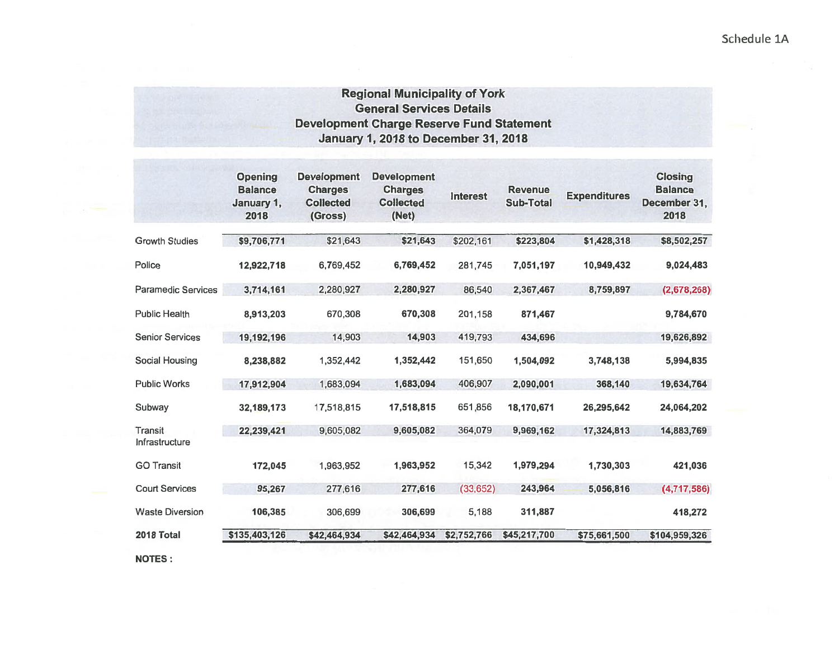Schedule 1A

## **Regional Municipality of York General Services Details Development Charge Reserve Fund Statement January 1, 2018 to December 31, 2018**

| <b>Opening</b><br><b>Balance</b><br>January 1,<br>2018 | <b>Development</b><br><b>Charges</b><br><b>Collected</b><br>(Gross) | <b>Development</b><br><b>Charges</b><br><b>Collected</b><br>(Net) | <b>Interest</b> | <b>Revenue</b><br>Sub-Total | <b>Expenditures</b> | <b>Closing</b><br><b>Balance</b><br>December 31,<br>2018 |
|--------------------------------------------------------|---------------------------------------------------------------------|-------------------------------------------------------------------|-----------------|-----------------------------|---------------------|----------------------------------------------------------|
| \$9,706,771                                            | \$21,643                                                            | \$21,643                                                          | \$202,161       | \$223,804                   | \$1,428,318         | \$8,502,257                                              |
| 12,922,718                                             | 6,769,452                                                           | 6,769,452                                                         | 281,745         | 7,051,197                   | 10,949,432          | 9,024,483                                                |
| 3,714,161                                              | 2,280,927                                                           | 2,280,927                                                         | 86,540          | 2,367,467                   | 8,759,897           | (2,678,268)                                              |
| 8,913,203                                              | 670,308                                                             | 670,308                                                           | 201,158         | 871,467                     |                     | 9,784,670                                                |
| 19,192,196                                             | 14,903                                                              | 14,903                                                            | 419,793         | 434,696                     |                     | 19,626,892                                               |
| 8,238,882                                              | 1,352,442                                                           | 1,352,442                                                         | 151,650         | 1,504,092                   | 3,748,138           | 5,994,835                                                |
| 17,912,904                                             | 1,683,094                                                           | 1,683,094                                                         | 406,907         | 2,090,001                   | 368,140             | 19,634,764                                               |
| 32,189,173                                             | 17,518,815                                                          | 17,518,815                                                        | 651,856         | 18,170,671                  | 26,295,642          | 24,064,202                                               |
| 22,239,421                                             | 9,605,082                                                           | 9,605,082                                                         | 364,079         | 9,969,162                   | 17,324,813          | 14,883,769                                               |
| 172,045                                                | 1,963,952                                                           | 1,963,952                                                         | 15,342          | 1,979,294                   | 1,730,303           | 421,036                                                  |
| 95,267                                                 | 277,616                                                             | 277,616                                                           | (33, 652)       | 243,964                     | 5,056,816           | (4,717,586)                                              |
| 106,385                                                | 306,699                                                             | 306,699                                                           | 5,188           | 311,887                     |                     | 418,272                                                  |
| \$135,403,126                                          | \$42,464,934                                                        | \$42,464,934                                                      | \$2,752,766     | \$45,217,700                | \$75,661,500        | \$104,959,326                                            |
|                                                        |                                                                     |                                                                   |                 |                             |                     |                                                          |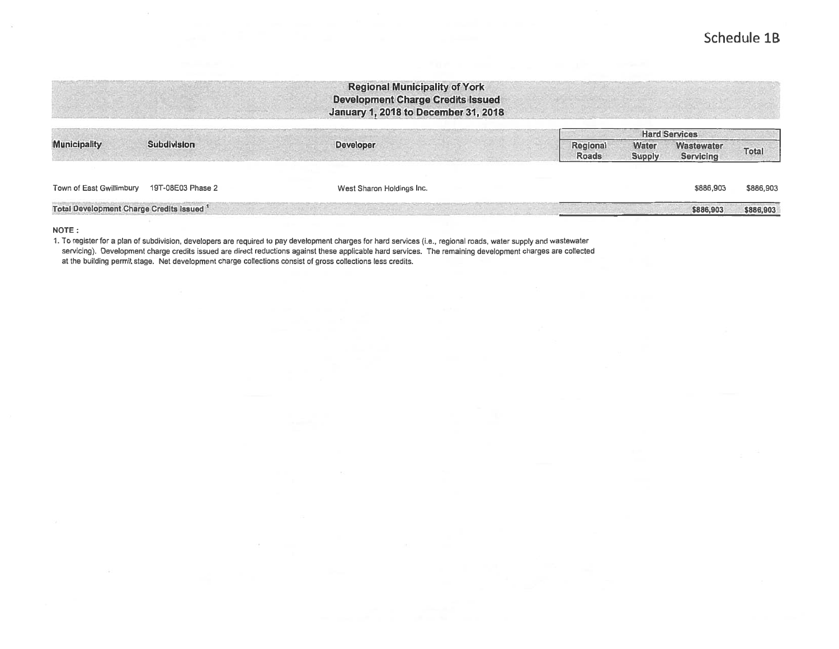# Schedule 1B

|                                                      |                    | <b>Regional Municipality of York</b><br><b>Development Charge Credits Issued</b><br>January 1, 2018 to December 31, 2018 |              |               |                                           |           |
|------------------------------------------------------|--------------------|--------------------------------------------------------------------------------------------------------------------------|--------------|---------------|-------------------------------------------|-----------|
| <b>Municipality</b>                                  | <b>Subdivision</b> | <b>Developer</b>                                                                                                         | Regional     | <b>Water</b>  | <b>Hard Services</b><br><b>Wastewater</b> | Total     |
|                                                      |                    |                                                                                                                          | <b>Roads</b> | <b>Supply</b> | Servicing                                 |           |
| Town of East Gwillimbury                             | 19T-08E03 Phase 2  | West Sharon Holdings Inc.                                                                                                |              |               | \$886,903                                 | \$886,903 |
| Total Development Charge Credits Issued <sup>1</sup> |                    |                                                                                                                          |              |               | \$886,903                                 | \$886,903 |

NOTE:

1. To register for a plan of subdivision, developers are required to pay development charges for hard services (i.e., regional roads, water supply and wastewater servicing). Development charge credits issued are direct reductions against these applicable hard services. The remaining development charges are collected at the building permit stage. Net development charge collections consist of gross collections less credits.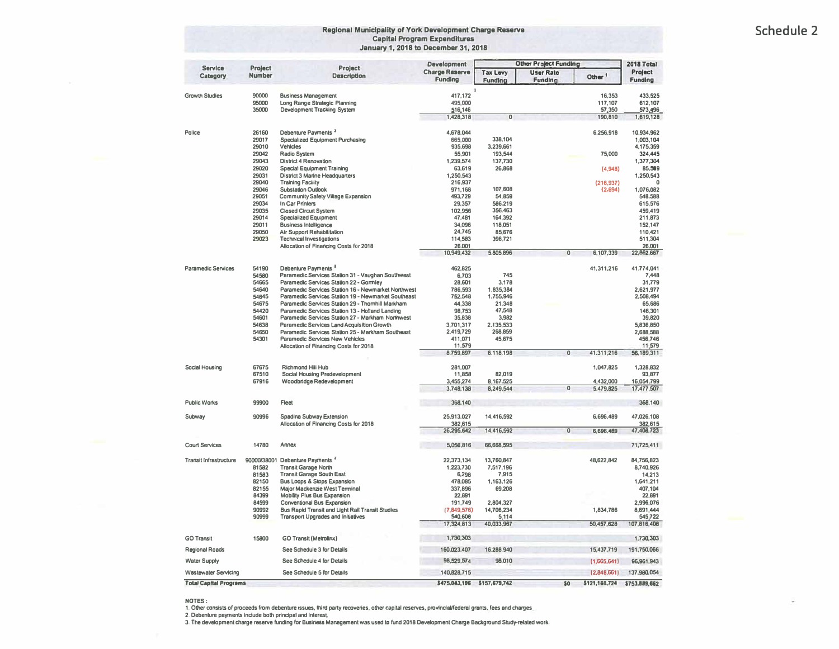#### **Regional Municipality of York Development Charge Reserve <b>All Accords Schedule 2 Capital Program Expenditures January 1, 2018 to December 31, 2018**

| <b>Service</b>                | Project        | Project                                                                          | <b>Development</b>                      |                                   | <b>Other Project Funding</b>       |                        | 2018 Total                |
|-------------------------------|----------------|----------------------------------------------------------------------------------|-----------------------------------------|-----------------------------------|------------------------------------|------------------------|---------------------------|
| Category                      | <b>Number</b>  | <b>Description</b>                                                               | <b>Charge Reserve</b><br><b>Funding</b> | <b>Tax Levy</b><br><b>Funding</b> | <b>User Rate</b><br><b>Funding</b> | Other <sup>1</sup>     | Project<br><b>Funding</b> |
|                               | 90000          |                                                                                  | 417,172                                 | $\mathcal{R}$                     |                                    |                        |                           |
| <b>Growth Studies</b>         | 95000          | <b>Business Management</b>                                                       |                                         |                                   |                                    | 16,353<br>117,107      | 433,525<br>612,107        |
|                               | 35000          | Long Range Strategic Planning<br>Development Tracking System                     | 495,000<br>516,146                      |                                   |                                    | 57,350                 | 573,496                   |
|                               |                |                                                                                  | 1,428,318                               | 0                                 |                                    | 190,810                | 1,619,128                 |
|                               |                |                                                                                  |                                         |                                   |                                    |                        |                           |
| Police                        | 26160          | Debenture Payments <sup>2</sup>                                                  | 4,678,044                               |                                   |                                    | 6,256,918              | 10,934,962                |
|                               | 29017          | <b>Specialized Equipment Purchasing</b>                                          | 665,000                                 | 338,104                           |                                    |                        | 1,003,104                 |
|                               | 29010          | Vehicles                                                                         | 935,698                                 | 3,239,661                         |                                    |                        | 4,175,359                 |
|                               | 29042          | Radio System                                                                     | 55,901                                  | 193,544                           |                                    | 75,000                 | 324,445                   |
|                               | 29043          | District 4 Renovation                                                            | 1,239,574                               | 137,730                           |                                    |                        | 1,377,304                 |
|                               | 29020          | <b>Special Equipment Training</b>                                                | 63.619                                  | 26,868                            |                                    | (4,948)                | 85,509                    |
|                               | 29031<br>29040 | <b>District 3 Marine Headquarters</b><br><b>Training Facility</b>                | 1.250.543<br>216,937                    |                                   |                                    | (216, 937)             | 1,250,543<br>$\Omega$     |
|                               | 29046          | <b>Substation Outlook</b>                                                        | 971,168                                 | 107,608                           |                                    | (2.694)                | 1,076,082                 |
|                               | 29051          | Community Safety Village Expansion                                               | 493,729                                 | 54,859                            |                                    |                        | 548,588                   |
|                               | 29034          | In Car Printers                                                                  | 29,357                                  | 586.219                           |                                    |                        | 615,576                   |
|                               | 29035          | <b>Clased Circuit System</b>                                                     | 102,956                                 | 356,463                           |                                    |                        | 459,419                   |
|                               | 29014          | <b>Specialized Equipment</b>                                                     | 47,481                                  | 164,392                           |                                    |                        | 211,873                   |
|                               | 29011          | <b>Business Intelligence</b>                                                     | 34,096                                  | 118,051                           |                                    |                        | 152,147                   |
|                               | 29050          | Air Support Rehabilitation                                                       | 24,745                                  | 85,676                            |                                    |                        | 110,421                   |
|                               | 29023          | <b>Technical Investigations</b>                                                  | 114,583                                 | 396,721                           |                                    |                        | 511,304                   |
|                               |                | Allocation of Financing Costs for 2018                                           | 26.001                                  |                                   |                                    |                        | 26,001                    |
|                               |                |                                                                                  | 10,949,432                              | 5,805,896                         | $\mathbf 0$                        | 6,107,339              | 22,862,667                |
| <b>Paramedic Services</b>     | 54190          | Debenture Payments <sup>3</sup>                                                  | 462,825                                 |                                   |                                    | 41,311,216             | 41.774,041                |
|                               | 54580          | Paramedic Services Station 31 - Vaughan Southwest                                | 6,703                                   | 745                               |                                    |                        | 7,448                     |
|                               | 54665          | Paramedic Services Station 22 - Gormley                                          | 28,601                                  | 3,178                             |                                    |                        | 31,779                    |
|                               | 54640          | Paramedic Services Station 16 - Newmarket Northwest                              | 786,593                                 | 1.835,384                         |                                    |                        | 2.621.977                 |
|                               | 54645          | Paramedic Services Station 19 - Newmarket Southeast                              | 752,548                                 | 1.755,946                         |                                    |                        | 2.508.494                 |
|                               | 54675          | Paramedic Services Station 29 - Thomhill Markham                                 | 44,338                                  | 21.348                            |                                    |                        | 65,686                    |
|                               | 54420          | Paramedic Services Station 13 - Holtand Landing                                  | 98.753                                  | 47,548                            |                                    |                        | 146,301                   |
|                               | 54601          | Paramedic Services Station 27 - Markham Northwest                                | 35,838                                  | 3,982                             |                                    |                        | 39,820                    |
|                               | 54638          | Paramedic Services Land Acquisition Growth                                       | 3,701,317                               | 2.135,533                         |                                    |                        | 5,836,850                 |
|                               | 54650          | Paramedic Services Station 25 - Markham Southeast                                | 2,419,729                               | 268,859                           |                                    |                        | 2,688,588                 |
|                               | 54301          | <b>Paramedic Services New Vehicles</b><br>Allocation of Financing Costs for 2018 | 411.071<br>11,579                       | 45,675                            |                                    |                        | 456,746<br>11,579         |
|                               |                |                                                                                  | 8,759,897                               | 6.118.198                         | $\mathbf 0$                        | 41.311,216             | 56,189,311                |
|                               |                |                                                                                  |                                         |                                   |                                    |                        |                           |
| Social Housing                | 67675          | Richmond Hill Hub                                                                | 281,007                                 |                                   |                                    | 1,047,825              | 1,328,832                 |
|                               | 67510          | Social Housing Predevelopment                                                    | 11,858                                  | 82,019                            |                                    |                        | 93,877                    |
|                               | 67916          | Woodbridge Redevelopment                                                         | 3,455,274<br>3,748,138                  | 8,167.525<br>8,249,544            | $\overline{0}$                     | 4,432,000<br>5,479,825 | 16,054,799<br>17,477,507  |
|                               |                |                                                                                  |                                         |                                   |                                    |                        |                           |
| <b>Public Works</b>           | 99900          | Fleet                                                                            | 368,140                                 |                                   |                                    |                        | 368,140                   |
| Subway                        | 90996          | Spadina Subway Extension                                                         | 25,913,027                              | 14,416,592                        |                                    | 6,696,489              | 47,026,108                |
|                               |                | Allocation of Financing Costs for 2018                                           | 382,615                                 |                                   |                                    |                        | 382,615                   |
|                               |                |                                                                                  | 26,295,642                              | 14,416,592                        | $\overline{0}$                     | 6,696,489              | 47,408,723                |
| <b>Court Services</b>         | 14780          | Annex                                                                            | 5,056,816                               | 66,668,595                        |                                    |                        | 71,725,411                |
| <b>Transit Infrastructure</b> |                | 90000/38001 Debenture Payments <sup>2</sup>                                      | 22,373,134                              | 13,760,847                        |                                    | 48,622,842             | 84,756,823                |
|                               | 81582          | <b>Transit Garage North</b>                                                      | 1,223,730                               | 7,517,196                         |                                    |                        | 8,740,926                 |
|                               | 81583          | <b>Transit Garage South East</b>                                                 | 6,298                                   | 7,915                             |                                    |                        | 14,213                    |
|                               | 82150          | Bus Loops & Stops Expansion                                                      | 478,085                                 | 1,163,126                         |                                    |                        | 1,641,211                 |
|                               | 82155          | Major Mackenzie West Terminal                                                    | 337,896                                 | 69,208                            |                                    |                        | 407,104                   |
|                               | 84399          | <b>Mobility Plus Bus Expansion</b>                                               | 22,891                                  |                                   |                                    |                        | 22,891                    |
|                               | 84599          | Conventional Bus Expansion                                                       | 191,749                                 | 2,804,327                         |                                    |                        | 2,996,076                 |
|                               | 90992          | Bus Rapid Transit and Light Rail Transit Studies                                 | (7,849,576)                             | 14,706,234                        |                                    | 1,834,786              | 8,691,444                 |
|                               | 90999          | <b>Transport Upgrades and Initiatives</b>                                        | 540,608                                 | 5,114                             |                                    |                        | 545 722                   |
|                               |                |                                                                                  | 17,324,813                              | 40,033,967                        |                                    | 50,457,628             | 107,816,408               |
| <b>GO Transit</b>             | 15800          | <b>GO Transit (Metrolinx)</b>                                                    | 1,730,303                               |                                   |                                    |                        | 1,730,303                 |
| <b>Regional Roads</b>         |                | See Schedule 3 for Details                                                       | 160,023,407                             | 16,288,940                        |                                    | 15,437,719             | 191,750,066               |
| <b>Water Supply</b>           |                | See Schedule 4 for Details                                                       | 98,529,574                              | 98,010                            |                                    | (1,665,641)            | 96,961,943                |
| <b>Wastewater Servicing</b>   |                | See Schedule 5 for Details                                                       | 140,828,715                             |                                   |                                    | (2,848,661)            | 137,980,054               |
| <b>Total Capital Programs</b> |                |                                                                                  |                                         | \$475,043,196 \$157,679,742       | 50                                 | \$121,168,724          | \$753,889,662             |

NOTES :<br>1. Other consists of proceeds from debenture issues, third party recoveries, other capital reserves, provincial/federal grants, fees and charges,<br>2. Debenture payments include both principal and Interest.

**3. The development charge reserve funding for Business Management was used to fund 2018 Development Charge Background Study.related work.**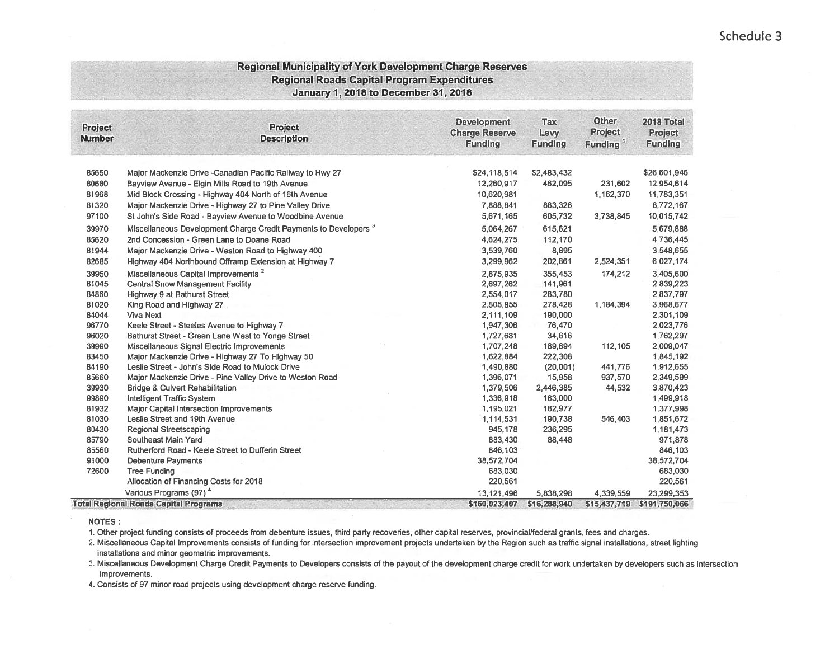## Schedule 3

#### **Regional Municipality of York Development Charge Reserves Regional Roads Capital Program Expenditures** January 1, 2018 to December 31, 2018

| <b>Project</b><br><b>Number</b> | <b>Project</b><br><b>Description</b>                                        | <b>Development</b><br><b>Charge Reserve</b><br><b>Funding</b> | Tax<br>Levy<br><b>Funding</b> | <b>Other</b><br>Project<br>Funding <sup>1</sup> | 2018 Total<br><b>Project</b><br><b>Funding</b> |
|---------------------------------|-----------------------------------------------------------------------------|---------------------------------------------------------------|-------------------------------|-------------------------------------------------|------------------------------------------------|
| 85650                           | Major Mackenzie Drive - Canadian Pacific Railway to Hwy 27                  | \$24,118,514                                                  | \$2,483,432                   |                                                 | \$26,601,946                                   |
| 80680                           | Bayview Avenue - Elgin Mills Road to 19th Avenue                            | 12.260.917                                                    | 462,095                       | 231,602                                         | 12,954,614                                     |
| 81968                           | Mid Block Crossing - Highway 404 North of 16th Avenue                       | 10,620,981                                                    |                               | 1,162,370                                       | 11,783,351                                     |
| 81320                           | Major Mackenzie Drive - Highway 27 to Pine Valley Drive                     | 7,888,841                                                     | 883,326                       |                                                 | 8,772,167                                      |
| 97100                           | St John's Side Road - Bayview Avenue to Woodbine Avenue                     | 5,671,165                                                     | 605,732                       | 3,738,845                                       | 10,015,742                                     |
| 39970                           | Miscellaneous Development Charge Credit Payments to Developers <sup>3</sup> | 5,064,267                                                     | 615,621                       |                                                 | 5,679,888                                      |
| 85620                           | 2nd Concession - Green Lane to Doane Road                                   | 4,624,275                                                     | 112,170                       |                                                 | 4,736,445                                      |
| 81944                           | Major Mackenzie Drive - Weston Road to Highway 400                          | 3,539,760                                                     | 8,895                         |                                                 | 3,548,655                                      |
| 82685                           | Highway 404 Northbound Offramp Extension at Highway 7                       | 3,299,962                                                     | 202,861                       | 2,524,351                                       | 6,027,174                                      |
| 39950                           | Miscellaneous Capital Improvements <sup>2</sup>                             | 2,875,935                                                     | 355.453                       | 174,212                                         | 3,405,600                                      |
| 81045                           | <b>Central Snow Management Facility</b>                                     | 2,697,262                                                     | 141,961                       |                                                 | 2,839,223                                      |
| 84860                           | Highway 9 at Bathurst Street                                                | 2,554,017                                                     | 283,780                       |                                                 | 2.837,797                                      |
| 81020                           | King Road and Highway 27                                                    | 2,505,855                                                     | 278,428                       | 1,184,394                                       | 3,968,677                                      |
| 84044                           | <b>Viva Next</b>                                                            | 2,111,109                                                     | 190,000                       |                                                 | 2,301,109                                      |
| 96770                           | Keele Street - Steeles Avenue to Highway 7                                  | 1,947,306                                                     | 76,470                        |                                                 | 2,023,776                                      |
| 96020                           | Bathurst Street - Green Lane West to Yonge Street                           | 1,727,681                                                     | 34,616                        |                                                 | 1,762,297                                      |
| 39990                           | Miscellaneous Signal Electric Improvements                                  | 1,707,248                                                     | 189,694                       | 112,105                                         | 2,009,047                                      |
| 83450                           | Major Mackenzie Drive - Highway 27 To Highway 50                            | 1,622,884                                                     | 222,308                       |                                                 | 1,845,192                                      |
| 84190                           | Leslie Street - John's Side Road to Mulock Drive                            | 1,490,880                                                     | (20,001)                      | 441,776                                         | 1,912,655                                      |
| 85660                           | Major Mackenzie Drive - Pine Valley Drive to Weston Road                    | 1,396,071                                                     | 15,958                        | 937,570                                         | 2,349,599                                      |
| 39930                           | <b>Bridge &amp; Culvert Rehabilitation</b>                                  | 1,379,506                                                     | 2,446,385                     | 44,532                                          | 3,870,423                                      |
| 99890                           | <b>Intelligent Traffic System</b>                                           | 1,336,918                                                     | 163,000                       |                                                 | 1,499,918                                      |
| 81932                           | Major Capital Intersection Improvements                                     | 1,195,021                                                     | 182,977                       |                                                 | 1,377,998                                      |
| 81030                           | Leslie Street and 19th Avenue                                               | 1,114,531                                                     | 190,738                       | 546,403                                         | 1,851,672                                      |
| 80430                           | <b>Regional Streetscaping</b>                                               | 945,178                                                       | 236,295                       |                                                 | 1,181,473                                      |
| 85790                           | Southeast Main Yard                                                         | 883,430                                                       | 88,448                        |                                                 | 971,878                                        |
| 85560                           | Rutherford Road - Keele Street to Dufferin Street                           | 846,103                                                       |                               |                                                 | 846,103                                        |
| 91000                           | <b>Debenture Payments</b>                                                   | 38,572,704                                                    |                               |                                                 | 38,572,704                                     |
| 72600                           | <b>Tree Funding</b>                                                         | 683,030                                                       |                               |                                                 | 683,030                                        |
|                                 | Allocation of Financing Costs for 2018                                      | 220,561                                                       |                               |                                                 | 220,561                                        |
|                                 | Various Programs (97) <sup>4</sup>                                          | 13, 121, 496                                                  | 5,838,298                     | 4,339,559                                       | 23,299,353                                     |
|                                 | <b>Total Regional Roads Capital Programs</b>                                | \$160,023,407                                                 | \$16,288,940                  | \$15,437,719                                    | \$191,750,066                                  |

**NOTES:** 

1. Other project funding consists of proceeds from debenture issues, third party recoveries, other capital reserves, provincial/federal grants, fees and charges.

2. Miscellaneous Capital Improvements consists of funding for intersection improvement projects undertaken by the Region such as traffic signal installations, street lighting installations and minor geometric improvements.

3. Miscellaneous Development Charge Credit Payments to Developers consists of the payout of the development charge credit for work undertaken by developers such as intersection improvements.

4. Consists of 97 minor road projects using development charge reserve funding.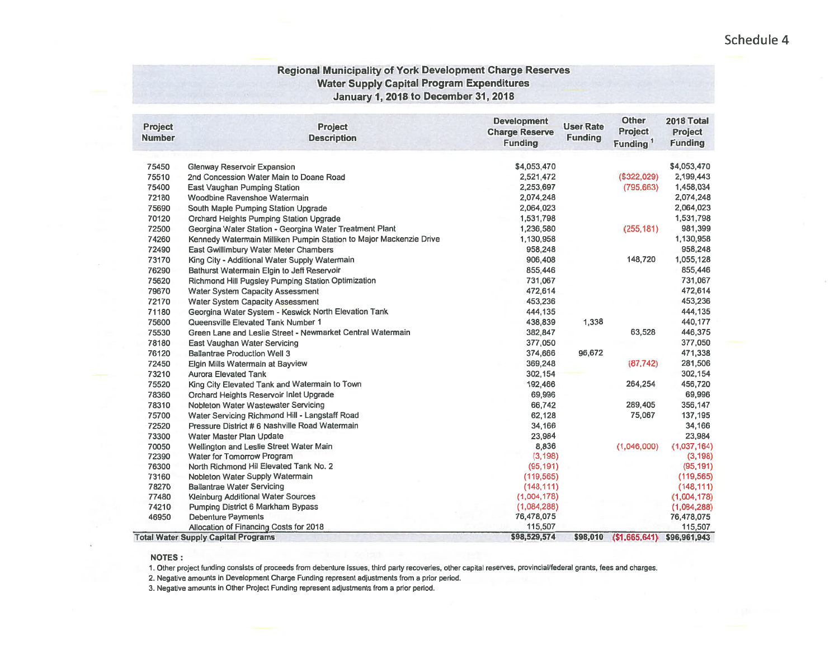#### **Regional Municipality of York Development Charge Reserves Water Supply Capital Program Expenditures January 1, 2018 to December 31, 2018**

| <b>Project</b><br><b>Number</b> | <b>Project</b><br><b>Description</b>                               | <b>Development</b><br><b>Charge Reserve</b><br><b>Funding</b> | <b>User Rate</b><br><b>Funding</b> | <b>Other</b><br>Project<br>Funding <sup>1</sup> | 2018 Total<br>Project<br><b>Funding</b> |
|---------------------------------|--------------------------------------------------------------------|---------------------------------------------------------------|------------------------------------|-------------------------------------------------|-----------------------------------------|
|                                 |                                                                    |                                                               |                                    |                                                 |                                         |
| 75450                           | <b>Glenway Reservoir Expansion</b>                                 | \$4,053,470                                                   |                                    |                                                 | \$4,053,470                             |
| 75510                           | 2nd Concession Water Main to Doane Road                            | 2,521,472                                                     |                                    | \$322,029)                                      | 2,199,443                               |
| 75400                           | East Vaughan Pumping Station                                       | 2,253,697                                                     |                                    | (795, 663)                                      | 1,458,034                               |
| 72180                           | Woodbine Ravenshoe Watermain                                       | 2,074,248                                                     |                                    |                                                 | 2,074,248                               |
| 75690                           | South Maple Pumping Station Upgrade                                | 2,064,023                                                     |                                    |                                                 | 2,064,023                               |
| 70120                           | Orchard Heights Pumping Station Upgrade                            | 1,531,798                                                     |                                    |                                                 | 1,531,798                               |
| 72500                           | Georgina Water Station - Georgina Water Treatment Plant            | 1,236,580                                                     |                                    | (255, 181)                                      | 981,399                                 |
| 74260                           | Kennedy Watermain Milliken Pumpin Station to Major Mackenzie Drive | 1,130,958                                                     |                                    |                                                 | 1,130,958                               |
| 72490                           | East Gwillimbury Water Meter Chambers                              | 958,248                                                       |                                    |                                                 | 958,248                                 |
| 73170                           | King City - Additional Water Supply Watermain                      | 906,408                                                       |                                    | 148,720                                         | 1,055,128                               |
| 76290                           | Bathurst Watermain Elgin to Jeff Reservoir                         | 855,446                                                       |                                    |                                                 | 855,446                                 |
| 75620                           | Richmond Hill Pugsley Pumping Station Optimization                 | 731,067                                                       |                                    |                                                 | 731,067                                 |
| 79670                           | <b>Water System Capacity Assessment</b>                            | 472,614                                                       |                                    |                                                 | 472,614                                 |
| 72170                           | <b>Water System Capacity Assessment</b>                            | 453,236                                                       |                                    |                                                 | 453,236                                 |
| 71180                           | Georgina Water System - Keswick North Elevation Tank               | 444,135                                                       |                                    |                                                 | 444,135                                 |
| 75600                           | Queensville Elevated Tank Number 1                                 | 438,839                                                       | 1,338                              |                                                 | 440,177                                 |
| 75530                           | Green Lane and Leslie Street - Newmarket Central Watermain         | 382,847                                                       |                                    | 63,528                                          | 446,375                                 |
| 78180                           | East Vaughan Water Servicing                                       | 377,050                                                       |                                    |                                                 | 377,050                                 |
| 76120                           | <b>Ballantrae Production Well 3</b>                                | 374,666                                                       | 96,672                             |                                                 | 471,338                                 |
| 72450                           | Elgin Mills Watermain at Bayview                                   | 369,248                                                       |                                    | (87, 742)                                       | 281,506                                 |
| 73210                           | <b>Aurora Elevated Tank</b>                                        | 302,154                                                       |                                    |                                                 | 302,154                                 |
| 75520                           | King City Elevated Tank and Watermain to Town                      | 192,466                                                       |                                    | 264,254                                         | 456,720                                 |
| 78360                           | Orchard Heights Reservoir Inlet Upgrade                            | 69,996                                                        |                                    |                                                 | 69,996                                  |
| 78310                           | Nobleton Water Wastewater Servicing                                | 66,742                                                        |                                    | 289,405                                         | 356,147                                 |
| 75700                           | Water Servicing Richmond Hill - Langstaff Road                     | 62,128                                                        |                                    | 75,067                                          | 137,195                                 |
| 72520                           | Pressure District # 6 Nashville Road Watermain                     | 34,166                                                        |                                    |                                                 | 34,166                                  |
| 73300                           | Water Master Plan Update                                           | 23,984                                                        |                                    |                                                 | 23,984                                  |
| 70050                           | Wellington and Leslie Street Water Main                            | 8,836                                                         |                                    | (1,046,000)                                     | (1,037,164)                             |
| 72390                           | Water for Tomorrow Program                                         | (3, 198)                                                      |                                    |                                                 | (3, 198)                                |
| 76300                           | North Richmond Hil Elevated Tank No. 2                             | (95, 191)                                                     |                                    |                                                 | (95, 191)                               |
| 73160                           | Nobleton Water Supply Watermain                                    | (119, 565)                                                    |                                    |                                                 | (119, 565)                              |
| 78270                           | <b>Ballantrae Water Servicing</b>                                  | (148, 111)                                                    |                                    |                                                 | (148, 111)                              |
| 77480                           | <b>Kleinburg Additional Water Sources</b>                          | (1,004,178)                                                   |                                    |                                                 | (1,004,178)                             |
| 74210                           | Pumping District 6 Markham Bypass                                  | (1,084,288)                                                   |                                    |                                                 | (1,084,288)                             |
| 46950                           | <b>Debenture Payments</b>                                          | 76,478,075                                                    |                                    |                                                 | 76,478,075                              |
|                                 | Allocation of Financing Costs for 2018                             | 115,507                                                       |                                    |                                                 | 115,507                                 |
|                                 | <b>Total Water Supply Capital Programs</b>                         | \$98,529,574                                                  | \$98,010                           | (\$1,665,641)                                   | \$96,961,943                            |

**NOTES:** 

1. Other project funding consists of proceeds from debenture issues, third party recoveries, other capital reserves, provincial/federal grants, fees and charges.

2. Negative amounts in Development Charge Funding represent adjustments from a prior period.

3. Negative amounts in Other Project Funding represent adjustments from a prior period.